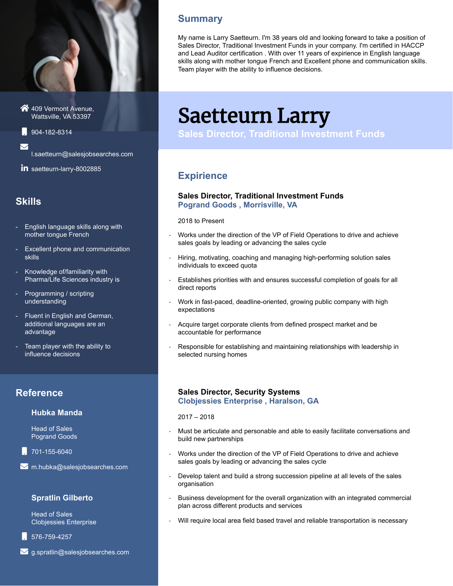

409 Vermont Avenue, Wattsville, VA 53397

904-182-8314

 $\blacktriangledown$ 

l.saetteurn@salesjobsearches.com

in saetteurn-larry-8002885

## **Skills**

- English language skills along with mother tongue French
- Excellent phone and communication skills
- Knowledge of/familiarity with Pharma/Life Sciences industry is
- Programming / scripting understanding
- Fluent in English and German, additional languages are an advantage
- Team player with the ability to influence decisions

## **Reference**

#### Hubka Manda

Head of Sales Pogrand Goods



**■** m.hubka@salesjobsearches.com

#### Spratlin Gilberto

Head of Sales Clobjessies Enterprise

 $576 - 759 - 4257$ 

 $✓$  g.spratlin@salesjobsearches.com

# **Summary**

My name is Larry Saetteurn. I'm 38 years old and looking forward to take a position of Sales Director, Traditional Investment Funds in your company. I'm certified in HACCP and Lead Auditor certification . With over 11 years of expirience in English language skills along with mother tongue French and Excellent phone and communication skills. Team player with the ability to influence decisions.

# Saetteurn Larry

Sales Director, Traditional Investment Funds

# **Expirience**

#### Sales Director, Traditional Investment Funds Pogrand Goods , Morrisville, VA

2018 to Present

- Works under the direction of the VP of Field Operations to drive and achieve sales goals by leading or advancing the sales cycle
- Hiring, motivating, coaching and managing high-performing solution sales individuals to exceed quota
- Establishes priorities with and ensures successful completion of goals for all direct reports
- Work in fast-paced, deadline-oriented, growing public company with high expectations
- Acquire target corporate clients from defined prospect market and be accountable for performance
- Responsible for establishing and maintaining relationships with leadership in selected nursing homes

#### Sales Director, Security Systems Clobjessies Enterprise , Haralson, GA

2017 – 2018

- Must be articulate and personable and able to easily facilitate conversations and build new partnerships
- Works under the direction of the VP of Field Operations to drive and achieve sales goals by leading or advancing the sales cycle
- Develop talent and build a strong succession pipeline at all levels of the sales organisation
- Business development for the overall organization with an integrated commercial plan across different products and services
- Will require local area field based travel and reliable transportation is necessary